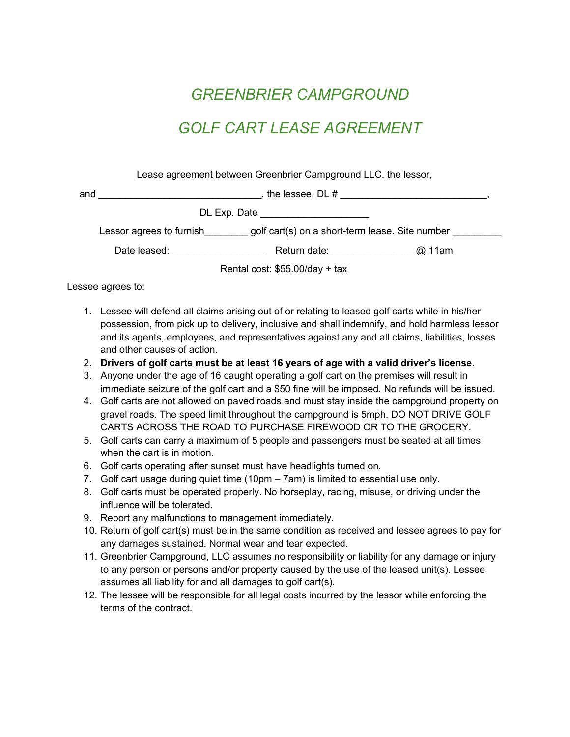## *GREENBRIER CAMPGROUND*

## *GOLF CART LEASE AGREEMENT*

Lease agreement between Greenbrier Campground LLC, the lessor,

| and                             | the lessee, DL #                                                            |              |        |
|---------------------------------|-----------------------------------------------------------------------------|--------------|--------|
|                                 | DL Exp. Date                                                                |              |        |
|                                 | golf cart(s) on a short-term lease. Site number<br>Lessor agrees to furnish |              |        |
|                                 | Date leased:                                                                | Return date: | @ 11am |
| Rental cost: $$55.00/day + tax$ |                                                                             |              |        |

Lessee agrees to:

- 1. Lessee will defend all claims arising out of or relating to leased golf carts while in his/her possession, from pick up to delivery, inclusive and shall indemnify, and hold harmless lessor and its agents, employees, and representatives against any and all claims, liabilities, losses and other causes of action.
- 2. **Drivers of golf carts must be at least 16 years of age with a valid driver's license.**
- 3. Anyone under the age of 16 caught operating a golf cart on the premises will result in immediate seizure of the golf cart and a \$50 fine will be imposed. No refunds will be issued.
- 4. Golf carts are not allowed on paved roads and must stay inside the campground property on gravel roads. The speed limit throughout the campground is 5mph. DO NOT DRIVE GOLF CARTS ACROSS THE ROAD TO PURCHASE FIREWOOD OR TO THE GROCERY.
- 5. Golf carts can carry a maximum of 5 people and passengers must be seated at all times when the cart is in motion.
- 6. Golf carts operating after sunset must have headlights turned on.
- 7. Golf cart usage during quiet time (10pm 7am) is limited to essential use only.
- 8. Golf carts must be operated properly. No horseplay, racing, misuse, or driving under the influence will be tolerated.
- 9. Report any malfunctions to management immediately.
- 10. Return of golf cart(s) must be in the same condition as received and lessee agrees to pay for any damages sustained. Normal wear and tear expected.
- 11. Greenbrier Campground, LLC assumes no responsibility or liability for any damage or injury to any person or persons and/or property caused by the use of the leased unit(s). Lessee assumes all liability for and all damages to golf cart(s).
- 12. The lessee will be responsible for all legal costs incurred by the lessor while enforcing the terms of the contract.